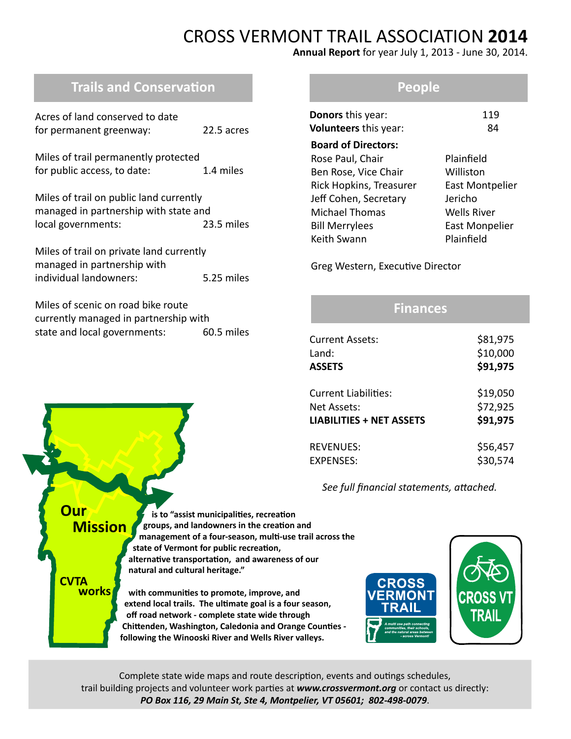# CROSS VERMONT TRAIL ASSOCIATION **2014**

**Annual Report** for year July 1, 2013 - June 30, 2014.

# **Trails and Conservation**

| Acres of land conserved to date<br>for permanent greenway:                                             | 22.5 acres |
|--------------------------------------------------------------------------------------------------------|------------|
| Miles of trail permanently protected<br>for public access, to date:                                    | 1.4 miles  |
| Miles of trail on public land currently<br>managed in partnership with state and<br>local governments: | 23.5 miles |
| Miles of trail on private land currently<br>managed in partnership with<br>individual landowners:      | 5.25 miles |

| Miles of scenic on road bike route    |            |
|---------------------------------------|------------|
| currently managed in partnership with |            |
| state and local governments:          | 60.5 miles |

## **People**

| Donors this year:<br>Volunteers this year: | 119<br>84              |
|--------------------------------------------|------------------------|
| <b>Board of Directors:</b>                 |                        |
| Rose Paul, Chair                           | Plainfield             |
| Ben Rose, Vice Chair                       | Williston              |
| Rick Hopkins, Treasurer                    | <b>East Montpelier</b> |
| Jeff Cohen, Secretary                      | Jericho                |
| <b>Michael Thomas</b>                      | Wells River            |
| <b>Bill Merrylees</b>                      | <b>East Monpelier</b>  |
| Keith Swann                                | Plainfield             |
|                                            |                        |

Greg Western, Executive Director

## **Finances**

| <b>Current Assets:</b>          | \$81,975 |
|---------------------------------|----------|
| Land:                           | \$10,000 |
| <b>ASSETS</b>                   | \$91,975 |
| <b>Current Liabilities:</b>     | \$19,050 |
| Net Assets:                     | \$72,925 |
| <b>LIABILITIES + NET ASSETS</b> | \$91,975 |
| <b>REVENUES:</b>                | \$56,457 |
| <b>EXPENSES:</b>                | \$30,574 |

 *See full financial statements, attached.*

 **is to "assist municipalities, recreation groups, and landowners in the creation and management of a four-season, multi-use trail across the state of Vermont for public recreation, alternative transportation, and awareness of our natural and cultural heritage." with communities to promote, improve, and extend local trails. The ultimate goal is a four season, Our Mission CVTA works**

 **off road network - complete state wide through Chittenden, Washington, Caledonia and Orange Counties following the Winooski River and Wells River valleys.**



Complete state wide maps and route description, events and outings schedules, trail building projects and volunteer work parties at *www.crossvermont.org* or contact us directly: *PO Box 116, 29 Main St, Ste 4, Montpelier, VT 05601; 802-498-0079*.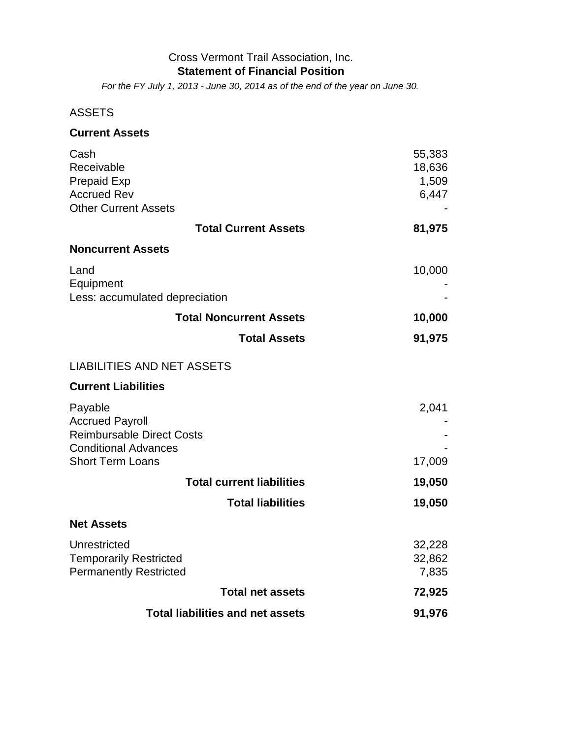### Cross Vermont Trail Association, Inc. **Statement of Financial Position**

*For the FY July 1, 2013 - June 30, 2014 as of the end of the year on June 30.*

## ASSETS

| <b>Current Assets</b> |  |
|-----------------------|--|
| Cash                  |  |

| Cash                              | 55,383 |
|-----------------------------------|--------|
| Receivable                        | 18,636 |
| <b>Prepaid Exp</b>                | 1,509  |
| <b>Accrued Rev</b>                | 6,447  |
| <b>Other Current Assets</b>       |        |
| <b>Total Current Assets</b>       | 81,975 |
| <b>Noncurrent Assets</b>          |        |
| Land                              | 10,000 |
| Equipment                         |        |
| Less: accumulated depreciation    |        |
| <b>Total Noncurrent Assets</b>    | 10,000 |
| <b>Total Assets</b>               | 91,975 |
| <b>LIABILITIES AND NET ASSETS</b> |        |
| <b>Current Liabilities</b>        |        |
| Payable                           | 2,041  |
| <b>Accrued Payroll</b>            |        |
| <b>Reimbursable Direct Costs</b>  |        |
| <b>Conditional Advances</b>       |        |
| <b>Short Term Loans</b>           | 17,009 |
| <b>Total current liabilities</b>  | 19,050 |
| <b>Total liabilities</b>          | 19,050 |
|                                   |        |
| <b>Net Assets</b>                 |        |
| Unrestricted                      | 32,228 |
| <b>Temporarily Restricted</b>     | 32,862 |
| <b>Permanently Restricted</b>     | 7,835  |
| <b>Total net assets</b>           | 72,925 |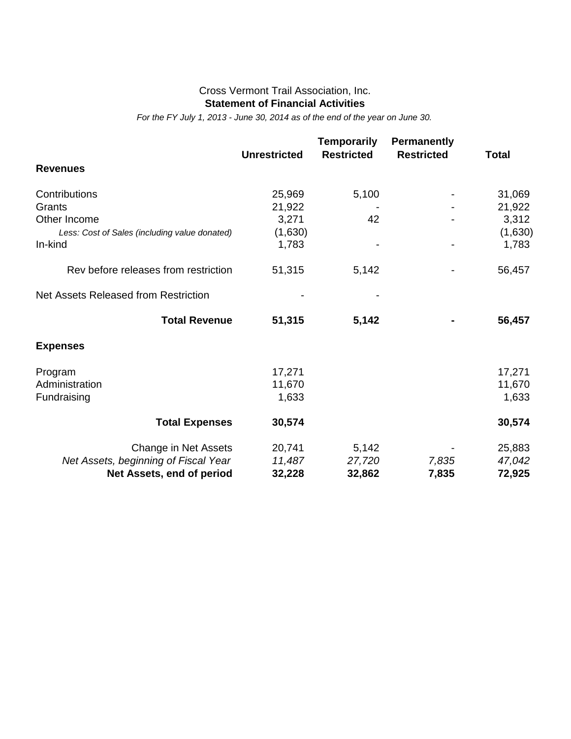#### Cross Vermont Trail Association, Inc. **Statement of Financial Activities**

*For the FY July 1, 2013 - June 30, 2014 as of the end of the year on June 30.*

|                                               | <b>Unrestricted</b> | <b>Temporarily</b><br><b>Restricted</b> | <b>Permanently</b><br><b>Restricted</b> | <b>Total</b> |
|-----------------------------------------------|---------------------|-----------------------------------------|-----------------------------------------|--------------|
| <b>Revenues</b>                               |                     |                                         |                                         |              |
| Contributions                                 | 25,969              | 5,100                                   |                                         | 31,069       |
| Grants                                        | 21,922              |                                         |                                         | 21,922       |
| Other Income                                  | 3,271               | 42                                      |                                         | 3,312        |
| Less: Cost of Sales (including value donated) | (1,630)             |                                         |                                         | (1,630)      |
| In-kind                                       | 1,783               |                                         |                                         | 1,783        |
| Rev before releases from restriction          | 51,315              | 5,142                                   |                                         | 56,457       |
| Net Assets Released from Restriction          |                     |                                         |                                         |              |
| <b>Total Revenue</b>                          | 51,315              | 5,142                                   |                                         | 56,457       |
| <b>Expenses</b>                               |                     |                                         |                                         |              |
| Program                                       | 17,271              |                                         |                                         | 17,271       |
| Administration                                | 11,670              |                                         |                                         | 11,670       |
| Fundraising                                   | 1,633               |                                         |                                         | 1,633        |
| <b>Total Expenses</b>                         | 30,574              |                                         |                                         | 30,574       |
| Change in Net Assets                          | 20,741              | 5,142                                   |                                         | 25,883       |
| Net Assets, beginning of Fiscal Year          | 11,487              | 27,720                                  | 7,835                                   | 47,042       |
| Net Assets, end of period                     | 32,228              | 32,862                                  | 7,835                                   | 72,925       |